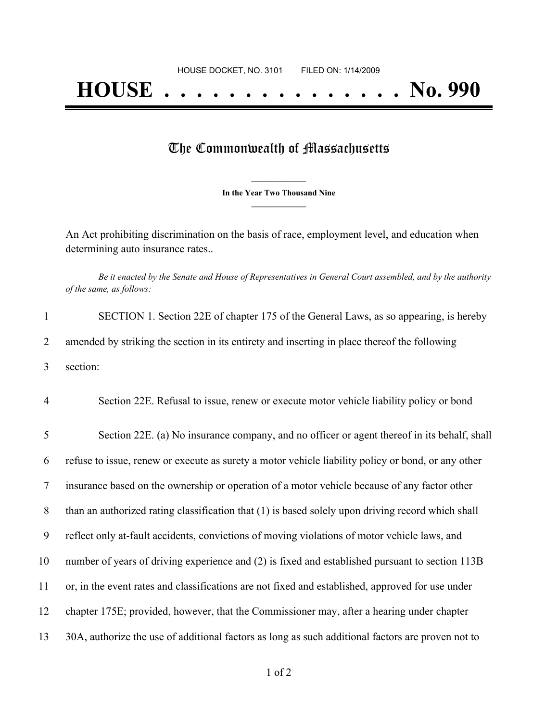## The Commonwealth of Massachusetts

**\_\_\_\_\_\_\_\_\_\_\_\_\_\_\_ In the Year Two Thousand Nine \_\_\_\_\_\_\_\_\_\_\_\_\_\_\_**

An Act prohibiting discrimination on the basis of race, employment level, and education when determining auto insurance rates..

Be it enacted by the Senate and House of Representatives in General Court assembled, and by the authority *of the same, as follows:*

1 SECTION 1. Section 22E of chapter 175 of the General Laws, as so appearing, is hereby 2 amended by striking the section in its entirety and inserting in place thereof the following 3 section:

4 Section 22E. Refusal to issue, renew or execute motor vehicle liability policy or bond

 Section 22E. (a) No insurance company, and no officer or agent thereof in its behalf, shall refuse to issue, renew or execute as surety a motor vehicle liability policy or bond, or any other insurance based on the ownership or operation of a motor vehicle because of any factor other than an authorized rating classification that (1) is based solely upon driving record which shall reflect only at-fault accidents, convictions of moving violations of motor vehicle laws, and number of years of driving experience and (2) is fixed and established pursuant to section 113B or, in the event rates and classifications are not fixed and established, approved for use under chapter 175E; provided, however, that the Commissioner may, after a hearing under chapter 30A, authorize the use of additional factors as long as such additional factors are proven not to